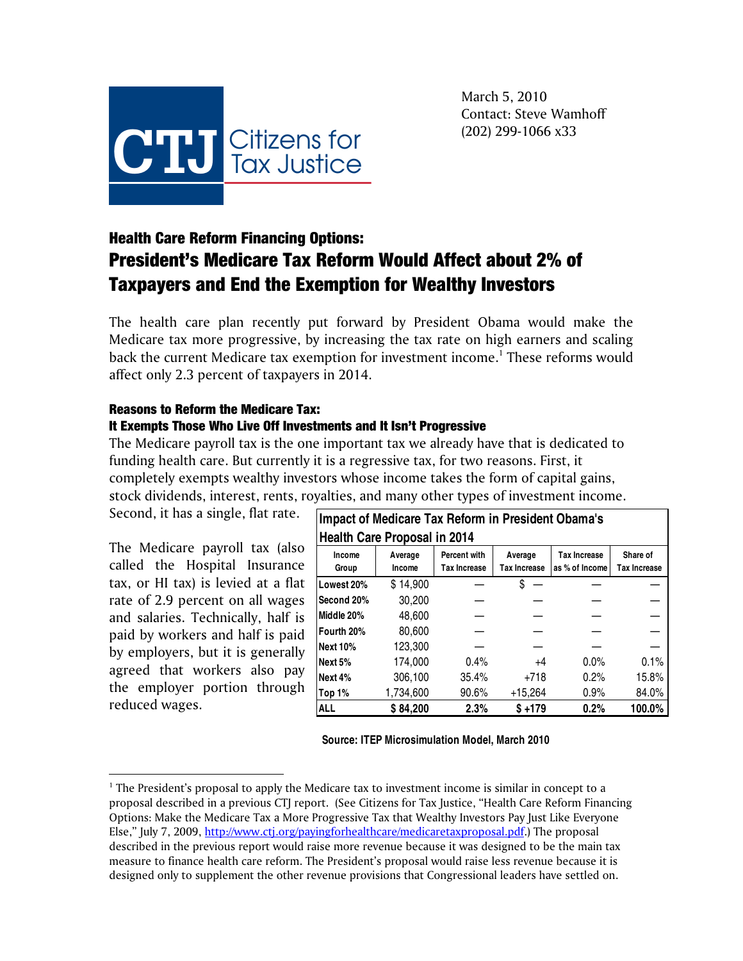

March 5, 2010 Contact: Steve Wamhoff (202) 299-1066 x33

# Health Care Reform Financing Options: President's Medicare Tax Reform Would Affect about 2% of Taxpayers and End the Exemption for Wealthy Investors

The health care plan recently put forward by President Obama would make the Medicare tax more progressive, by increasing the tax rate on high earners and scaling back the current Medicare tax exemption for investment income.<sup>1</sup> These reforms would affect only 2.3 percent of taxpayers in 2014.

# Reasons to Reform the Medicare Tax:

### It Exempts Those Who Live Off Investments and It Isn't Progressive

The Medicare payroll tax is the one important tax we already have that is dedicated to funding health care. But currently it is a regressive tax, for two reasons. First, it completely exempts wealthy investors whose income takes the form of capital gains, stock dividends, interest, rents, royalties, and many other types of investment income.

Second, it has a single, flat rate.

The Medicare payroll tax (also called the Hospital Insurance tax, or HI tax) is levied at a flat rate of 2.9 percent on all wages and salaries. Technically, half is paid by workers and half is paid by employers, but it is generally agreed that workers also pay the employer portion through reduced wages.

 $\overline{a}$ 

| Impact of Medicare Tax Reform in President Obama's<br><b>Health Care Proposal in 2014</b> |                   |                                     |                                |                                       |                                 |
|-------------------------------------------------------------------------------------------|-------------------|-------------------------------------|--------------------------------|---------------------------------------|---------------------------------|
| Income<br>Group                                                                           | Average<br>Income | Percent with<br><b>Tax Increase</b> | Average<br><b>Tax Increase</b> | <b>Tax Increase</b><br>as % of Income | Share of<br><b>Tax Increase</b> |
| Lowest 20%                                                                                | \$14,900          |                                     | S                              |                                       |                                 |
| Second 20%                                                                                | 30,200            |                                     |                                |                                       |                                 |
| Middle 20%                                                                                | 48.600            |                                     |                                |                                       |                                 |
| Fourth 20%                                                                                | 80.600            |                                     |                                |                                       |                                 |
| <b>Next 10%</b>                                                                           | 123,300           |                                     |                                |                                       |                                 |
| Next 5%                                                                                   | 174.000           | 0.4%                                | $+4$                           | $0.0\%$                               | 0.1%                            |
| Next 4%                                                                                   | 306,100           | 35.4%                               | $+718$                         | 0.2%                                  | 15.8%                           |
| Top 1%                                                                                    | 1,734,600         | $90.6\%$                            | $+15,264$                      | 0.9%                                  | 84.0%                           |
| <b>ALL</b>                                                                                | \$84,200          | 2.3%                                | $$+179$                        | 0.2%                                  | 100.0%                          |

**Source: ITEP Microsimulation Model, March 2010**

 $<sup>1</sup>$  The President's proposal to apply the Medicare tax to investment income is similar in concept to a</sup> proposal described in a previous CTJ report. (See Citizens for Tax Justice, "Health Care Reform Financing Options: Make the Medicare Tax a More Progressive Tax that Wealthy Investors Pay Just Like Everyone Else," July 7, 2009, http://www.ctj.org/payingforhealthcare/medicaretaxproposal.pdf.) The proposal described in the previous report would raise more revenue because it was designed to be the main tax measure to finance health care reform. The President's proposal would raise less revenue because it is designed only to supplement the other revenue provisions that Congressional leaders have settled on.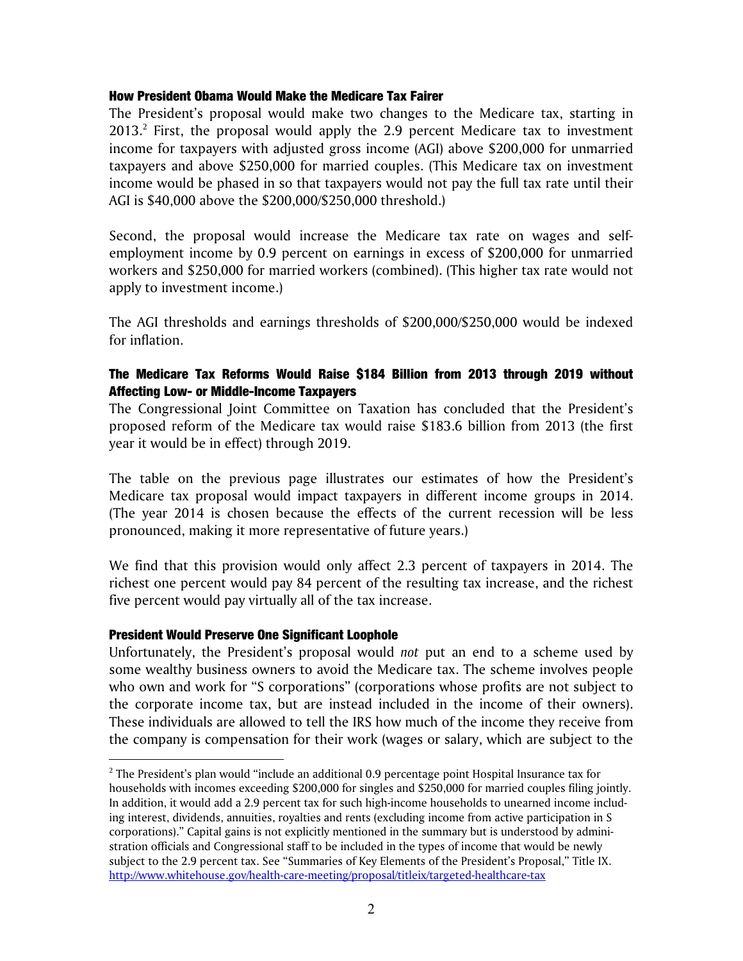#### How President Obama Would Make the Medicare Tax Fairer

The President's proposal would make two changes to the Medicare tax, starting in  $2013.<sup>2</sup>$  First, the proposal would apply the 2.9 percent Medicare tax to investment income for taxpayers with adjusted gross income (AGI) above \$200,000 for unmarried taxpayers and above \$250,000 for married couples. (This Medicare tax on investment income would be phased in so that taxpayers would not pay the full tax rate until their AGI is \$40,000 above the \$200,000/\$250,000 threshold.)

Second, the proposal would increase the Medicare tax rate on wages and selfemployment income by 0.9 percent on earnings in excess of \$200,000 for unmarried workers and \$250,000 for married workers (combined). (This higher tax rate would not apply to investment income.)

The AGI thresholds and earnings thresholds of \$200,000/\$250,000 would be indexed for inflation.

## The Medicare Tax Reforms Would Raise \$184 Billion from 2013 through 2019 without Affecting Low- or Middle-Income Taxpayers

The Congressional Joint Committee on Taxation has concluded that the President's proposed reform of the Medicare tax would raise \$183.6 billion from 2013 (the first year it would be in effect) through 2019.

The table on the previous page illustrates our estimates of how the President's Medicare tax proposal would impact taxpayers in different income groups in 2014. (The year 2014 is chosen because the effects of the current recession will be less pronounced, making it more representative of future years.)

We find that this provision would only affect 2.3 percent of taxpayers in 2014. The richest one percent would pay 84 percent of the resulting tax increase, and the richest five percent would pay virtually all of the tax increase.

#### President Would Preserve One Significant Loophole

 $\overline{a}$ 

Unfortunately, the President's proposal would *not* put an end to a scheme used by some wealthy business owners to avoid the Medicare tax. The scheme involves people who own and work for "S corporations" (corporations whose profits are not subject to the corporate income tax, but are instead included in the income of their owners). These individuals are allowed to tell the IRS how much of the income they receive from the company is compensation for their work (wages or salary, which are subject to the

 $2$  The President's plan would "include an additional 0.9 percentage point Hospital Insurance tax for households with incomes exceeding \$200,000 for singles and \$250,000 for married couples filing jointly. In addition, it would add a 2.9 percent tax for such high-income households to unearned income including interest, dividends, annuities, royalties and rents (excluding income from active participation in S corporations)." Capital gains is not explicitly mentioned in the summary but is understood by administration officials and Congressional staff to be included in the types of income that would be newly subject to the 2.9 percent tax. See "Summaries of Key Elements of the President's Proposal," Title IX. http://www.whitehouse.gov/health-care-meeting/proposal/titleix/targeted-healthcare-tax